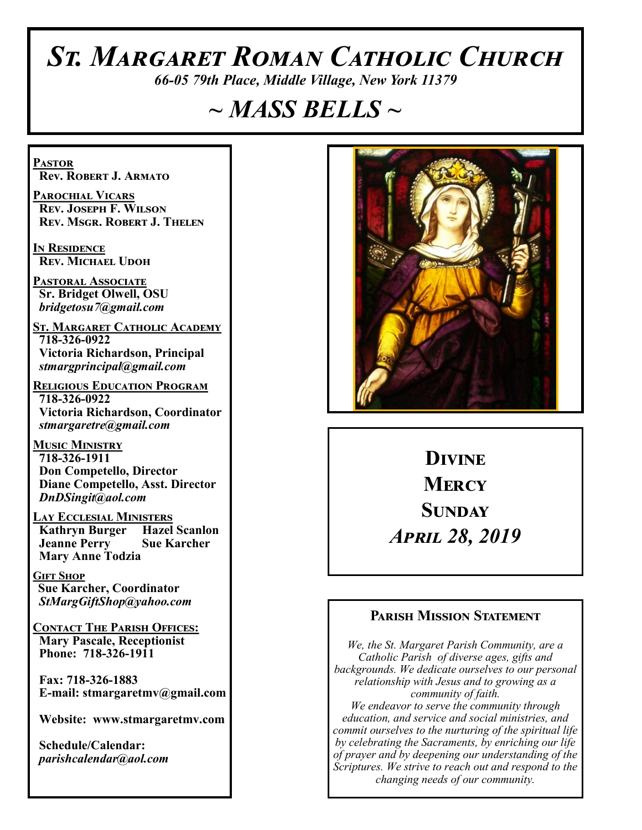# *St. Margaret Roman Catholic Church*

*66-05 79th Place, Middle Village, New York 11379*

# *~ MASS BELLS ~*

**Pastor Rev. Robert J. Armato**

**Parochial Vicars Rev. Joseph F. Wilson Rev. Msgr. Robert J. Thelen**

**In Residence Rev. Michael Udoh**

**Pastoral Associate Sr. Bridget Olwell, OSU**  *bridgetosu7@gmail.com*

**St. Margaret Catholic Academy 718-326-0922 Victoria Richardson, Principal**  *stmargprincipal@gmail.com*

**Religious Education Program 718-326-0922 Victoria Richardson, Coordinator** *stmargaretre@gmail.com*

**Music Ministry 718-326-1911 Don Competello, Director Diane Competello, Asst. Director** *DnDSingit@aol.com*

**Lay Ecclesial Ministers Kathryn Burger Jeanne Perry Sue Karcher Mary Anne Todzia**

**Gift Shop Sue Karcher, Coordinator** *StMargGiftShop@yahoo.com*

**Contact The Parish Offices: Mary Pascale, Receptionist Phone: 718-326-1911** 

 **Fax: 718-326-1883 E-mail: stmargaretmv@gmail.com**

 **Website: www.stmargaretmv.com**

 **Schedule/Calendar:** *parishcalendar@aol.com* 



**Divine Mercy Sunday**  *April 28, 2019* 

#### **Parish Mission Statement**

*We, the St. Margaret Parish Community, are a Catholic Parish of diverse ages, gifts and backgrounds. We dedicate ourselves to our personal relationship with Jesus and to growing as a community of faith. We endeavor to serve the community through education, and service and social ministries, and commit ourselves to the nurturing of the spiritual life by celebrating the Sacraments, by enriching our life of prayer and by deepening our understanding of the Scriptures. We strive to reach out and respond to the changing needs of our community.*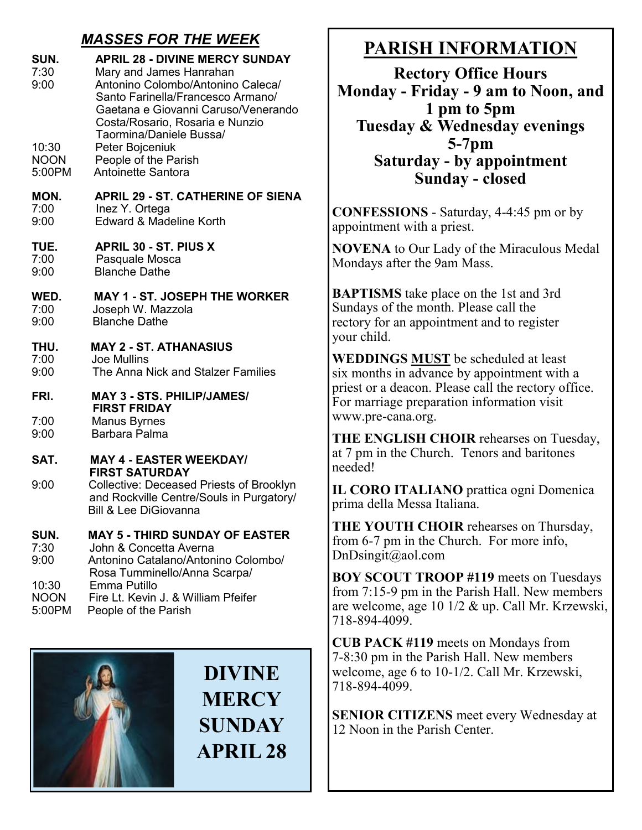## *MASSES FOR THE WEEK*

| SUN.<br>7:30<br>9:00          | <b>APRIL 28 - DIVINE MERCY SUNDAY</b><br>Mary and James Hanrahan<br>Antonino Colombo/Antonino Caleca/<br>Santo Farinella/Francesco Armano/<br>Gaetana e Giovanni Caruso/Venerando<br>Costa/Rosario, Rosaria e Nunzio<br>Taormina/Daniele Bussa/ |
|-------------------------------|-------------------------------------------------------------------------------------------------------------------------------------------------------------------------------------------------------------------------------------------------|
| 10:30                         | Peter Bojceniuk                                                                                                                                                                                                                                 |
| <b>NOON</b>                   | People of the Parish                                                                                                                                                                                                                            |
| 5:00PM                        | <b>Antoinette Santora</b>                                                                                                                                                                                                                       |
| MON.                          | <b>APRIL 29 - ST. CATHERINE OF SIENA</b>                                                                                                                                                                                                        |
| 7:00                          | Inez Y. Ortega                                                                                                                                                                                                                                  |
| 9:00                          | Edward & Madeline Korth                                                                                                                                                                                                                         |
| TUE.                          | <b>APRIL 30 - ST. PIUS X</b>                                                                                                                                                                                                                    |
| 7:00                          | Pasquale Mosca                                                                                                                                                                                                                                  |
| 9:00                          | <b>Blanche Dathe</b>                                                                                                                                                                                                                            |
| WED.                          | <b>MAY 1 - ST. JOSEPH THE WORKER</b>                                                                                                                                                                                                            |
| 7:00                          | Joseph W. Mazzola                                                                                                                                                                                                                               |
| 9:00                          | <b>Blanche Dathe</b>                                                                                                                                                                                                                            |
| THU.                          | <b>MAY 2 - ST. ATHANASIUS</b>                                                                                                                                                                                                                   |
| 7:00                          | <b>Joe Mullins</b>                                                                                                                                                                                                                              |
| 9:00                          | The Anna Nick and Stalzer Families                                                                                                                                                                                                              |
| FRI.                          | <b>MAY 3 - STS. PHILIP/JAMES/</b><br><b>FIRST FRIDAY</b>                                                                                                                                                                                        |
| 7:00                          | <b>Manus Byrnes</b>                                                                                                                                                                                                                             |
| 9:00                          | Barbara Palma                                                                                                                                                                                                                                   |
| SAT.                          | <b>MAY 4 - EASTER WEEKDAY/</b><br><b>FIRST SATURDAY</b>                                                                                                                                                                                         |
| 9:00                          | <b>Collective: Deceased Priests of Brooklyn</b><br>and Rockville Centre/Souls in Purgatory/<br><b>Bill &amp; Lee DiGiovanna</b>                                                                                                                 |
| SUN.<br>7:30<br>9:00<br>10:30 | <b>MAY 5 - THIRD SUNDAY OF EASTER</b><br>John & Concetta Averna<br>Antonino Catalano/Antonino Colombo/<br>Rosa Tumminello/Anna Scarpa/<br>Emma Putillo                                                                                          |

NOON Fire Lt. Kevin J. & William Pfeifer 5:00PM People of the Parish



**DIVINE MERCY SUNDAY APRIL 28**

# **PARISH INFORMATION**

**Rectory Office Hours Monday - Friday - 9 am to Noon, and 1 pm to 5pm Tuesday & Wednesday evenings 5-7pm Saturday - by appointment Sunday - closed**

**CONFESSIONS** - Saturday, 4-4:45 pm or by appointment with a priest.

**NOVENA** to Our Lady of the Miraculous Medal Mondays after the 9am Mass.

**BAPTISMS** take place on the 1st and 3rd Sundays of the month. Please call the rectory for an appointment and to register your child.

**WEDDINGS MUST** be scheduled at least six months in advance by appointment with a priest or a deacon. Please call the rectory office. For marriage preparation information visit www.pre-cana.org.

**THE ENGLISH CHOIR** rehearses on Tuesday, at 7 pm in the Church. Tenors and baritones needed!

**IL CORO ITALIANO** prattica ogni Domenica prima della Messa Italiana.

**THE YOUTH CHOIR** rehearses on Thursday, from 6-7 pm in the Church. For more info, DnDsingit@aol.com

**BOY SCOUT TROOP #119** meets on Tuesdays from 7:15-9 pm in the Parish Hall. New members are welcome, age 10 1/2 & up. Call Mr. Krzewski, 718-894-4099.

**CUB PACK #119** meets on Mondays from 7-8:30 pm in the Parish Hall. New members welcome, age 6 to 10-1/2. Call Mr. Krzewski, 718-894-4099.

**SENIOR CITIZENS** meet every Wednesday at 12 Noon in the Parish Center.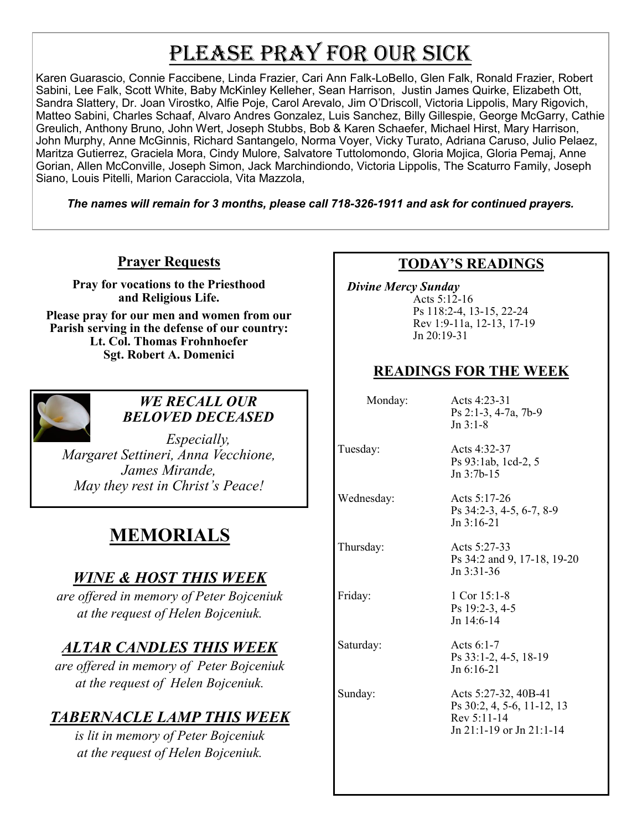# PLEASE PRAY FOR OUR SICK

Karen Guarascio, Connie Faccibene, Linda Frazier, Cari Ann Falk-LoBello, Glen Falk, Ronald Frazier, Robert Sabini, Lee Falk, Scott White, Baby McKinley Kelleher, Sean Harrison, Justin James Quirke, Elizabeth Ott, Sandra Slattery, Dr. Joan Virostko, Alfie Poje, Carol Arevalo, Jim O'Driscoll, Victoria Lippolis, Mary Rigovich, Matteo Sabini, Charles Schaaf, Alvaro Andres Gonzalez, Luis Sanchez, Billy Gillespie, George McGarry, Cathie Greulich, Anthony Bruno, John Wert, Joseph Stubbs, Bob & Karen Schaefer, Michael Hirst, Mary Harrison, John Murphy, Anne McGinnis, Richard Santangelo, Norma Voyer, Vicky Turato, Adriana Caruso, Julio Pelaez, Maritza Gutierrez, Graciela Mora, Cindy Mulore, Salvatore Tuttolomondo, Gloria Mojica, Gloria Pemaj, Anne Gorian, Allen McConville, Joseph Simon, Jack Marchindiondo, Victoria Lippolis, The Scaturro Family, Joseph Siano, Louis Pitelli, Marion Caracciola, Vita Mazzola,

*The names will remain for 3 months, please call 718-326-1911 and ask for continued prayers.*

#### **Prayer Requests**

**Pray for vocations to the Priesthood and Religious Life.** 

**Please pray for our men and women from our Parish serving in the defense of our country: Lt. Col. Thomas Frohnhoefer Sgt. Robert A. Domenici** 



#### *WE RECALL OUR BELOVED DECEASED*

*Especially, Margaret Settineri, Anna Vecchione, James Mirande, May they rest in Christ's Peace!*

# **MEMORIALS**

## *WINE & HOST THIS WEEK*

*are offered in memory of Peter Bojceniuk at the request of Helen Bojceniuk.*

# *ALTAR CANDLES THIS WEEK*

*are offered in memory of Peter Bojceniuk at the request of Helen Bojceniuk.* 

# *TABERNACLE LAMP THIS WEEK*

*is lit in memory of Peter Bojceniuk at the request of Helen Bojceniuk.*

#### **TODAY'S READINGS**

 *Divine Mercy Sunday* Acts 5:12-16 Ps 118:2-4, 13-15, 22-24 Rev 1:9-11a, 12-13, 17-19 Jn 20:19-31

#### **READINGS FOR THE WEEK**

 Monday: Acts 4:23-31 Ps 2:1-3, 4-7a, 7b-9 Jn 3:1-8

Tuesday: Acts 4:32-37 Ps 93:1ab, 1cd-2, 5 Jn 3:7b-15

Wednesday: Acts 5:17-26

Thursday: Acts 5:27-33

Saturday: Acts 6:1-7

Ps 34:2 and 9, 17-18, 19-20 Jn 3:31-36

Ps 34:2-3, 4-5, 6-7, 8-9

Friday: 1 Cor 15:1-8 Ps 19:2-3, 4-5 Jn 14:6-14

Jn 3:16-21

Ps 33:1-2, 4-5, 18-19 Jn 6:16-21

Sunday: Acts 5:27-32, 40B-41 Ps 30:2, 4, 5-6, 11-12, 13 Rev 5:11-14 Jn 21:1-19 or Jn 21:1-14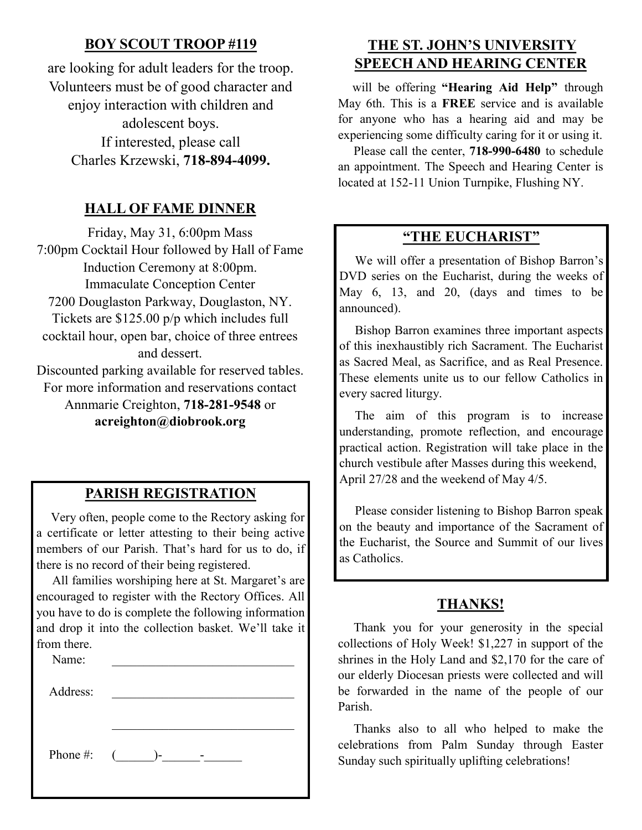#### **BOY SCOUT TROOP #119**

are looking for adult leaders for the troop. Volunteers must be of good character and enjoy interaction with children and adolescent boys. If interested, please call Charles Krzewski, **718-894-4099.**

#### **HALL OF FAME DINNER**

Friday, May 31, 6:00pm Mass 7:00pm Cocktail Hour followed by Hall of Fame Induction Ceremony at 8:00pm. Immaculate Conception Center 7200 Douglaston Parkway, Douglaston, NY. Tickets are \$125.00 p/p which includes full cocktail hour, open bar, choice of three entrees and dessert. Discounted parking available for reserved tables. For more information and reservations contact Annmarie Creighton, **718-281-9548** or

**acreighton@diobrook.org**

#### **PARISH REGISTRATION**

 Very often, people come to the Rectory asking for a certificate or letter attesting to their being active members of our Parish. That's hard for us to do, if there is no record of their being registered.

 All families worshiping here at St. Margaret's are encouraged to register with the Rectory Offices. All you have to do is complete the following information and drop it into the collection basket. We'll take it from there.

| Name:        |                |
|--------------|----------------|
| Address:     |                |
|              |                |
| Phone #: $($ | $\overline{a}$ |

## **THE ST. JOHN'S UNIVERSITY SPEECH AND HEARING CENTER**

 will be offering **"Hearing Aid Help"** through May 6th. This is a **FREE** service and is available for anyone who has a hearing aid and may be experiencing some difficulty caring for it or using it.

 Please call the center, **718-990-6480** to schedule an appointment. The Speech and Hearing Center is located at 152-11 Union Turnpike, Flushing NY.

#### **"THE EUCHARIST"**

 We will offer a presentation of Bishop Barron's DVD series on the Eucharist, during the weeks of May 6, 13, and 20, (days and times to be announced).

 Bishop Barron examines three important aspects of this inexhaustibly rich Sacrament. The Eucharist as Sacred Meal, as Sacrifice, and as Real Presence. These elements unite us to our fellow Catholics in every sacred liturgy.

 The aim of this program is to increase understanding, promote reflection, and encourage practical action. Registration will take place in the church vestibule after Masses during this weekend, April 27/28 and the weekend of May 4/5.

 Please consider listening to Bishop Barron speak on the beauty and importance of the Sacrament of the Eucharist, the Source and Summit of our lives as Catholics.

#### **THANKS!**

 Thank you for your generosity in the special collections of Holy Week! \$1,227 in support of the shrines in the Holy Land and \$2,170 for the care of our elderly Diocesan priests were collected and will be forwarded in the name of the people of our Parish.

 Thanks also to all who helped to make the celebrations from Palm Sunday through Easter Sunday such spiritually uplifting celebrations!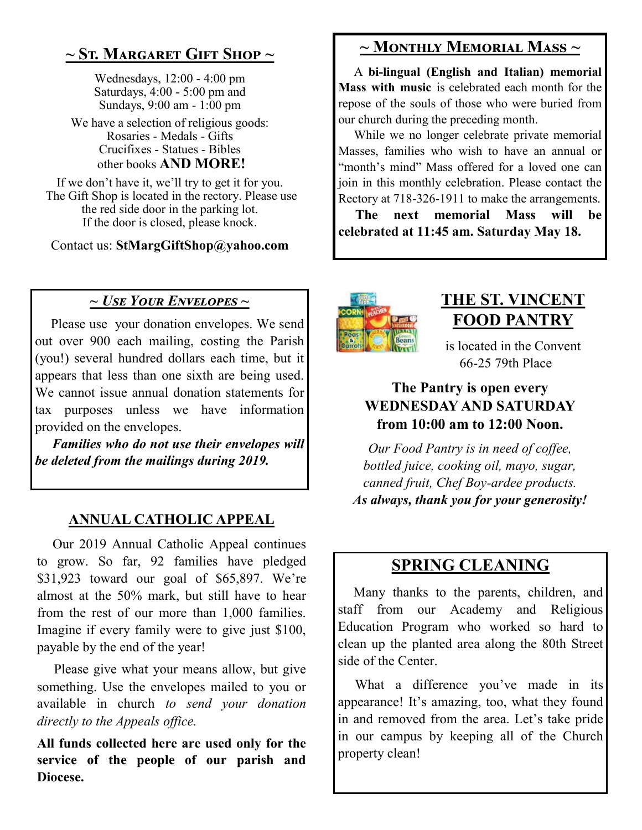# **~ St. Margaret Gift Shop ~**

Wednesdays, 12:00 - 4:00 pm Saturdays, 4:00 - 5:00 pm and Sundays, 9:00 am - 1:00 pm

We have a selection of religious goods: Rosaries - Medals - Gifts Crucifixes - Statues - Bibles other books **AND MORE!**

If we don't have it, we'll try to get it for you. The Gift Shop is located in the rectory. Please use the red side door in the parking lot. If the door is closed, please knock.

Contact us: **StMargGiftShop@yahoo.com**

### *~ Use Your Envelopes ~*

 Please use your donation envelopes. We send out over 900 each mailing, costing the Parish (you!) several hundred dollars each time, but it appears that less than one sixth are being used. We cannot issue annual donation statements for tax purposes unless we have information provided on the envelopes.

 *Families who do not use their envelopes will be deleted from the mailings during 2019.*

#### **ANNUAL CATHOLIC APPEAL**

 Our 2019 Annual Catholic Appeal continues to grow. So far, 92 families have pledged \$31,923 toward our goal of \$65,897. We're almost at the 50% mark, but still have to hear from the rest of our more than 1,000 families. Imagine if every family were to give just \$100, payable by the end of the year!

 Please give what your means allow, but give something. Use the envelopes mailed to you or available in church *to send your donation directly to the Appeals office.*

**All funds collected here are used only for the service of the people of our parish and Diocese.**

## **~ Monthly Memorial Mass ~**

 A **bi-lingual (English and Italian) memorial Mass with music** is celebrated each month for the repose of the souls of those who were buried from our church during the preceding month.

 While we no longer celebrate private memorial Masses, families who wish to have an annual or "month's mind" Mass offered for a loved one can join in this monthly celebration. Please contact the Rectory at 718-326-1911 to make the arrangements.

 **The next memorial Mass will be celebrated at 11:45 am. Saturday May 18.** 



# **THE ST. VINCENT FOOD PANTRY**

is located in the Convent 66-25 79th Place

#### **The Pantry is open every WEDNESDAY AND SATURDAY from 10:00 am to 12:00 Noon.**

*Our Food Pantry is in need of coffee, bottled juice, cooking oil, mayo, sugar, canned fruit, Chef Boy-ardee products. As always, thank you for your generosity!*

## **SPRING CLEANING**

Many thanks to the parents, children, and staff from our Academy and Religious Education Program who worked so hard to clean up the planted area along the 80th Street side of the Center.

What a difference you've made in its appearance! It's amazing, too, what they found in and removed from the area. Let's take pride in our campus by keeping all of the Church property clean!